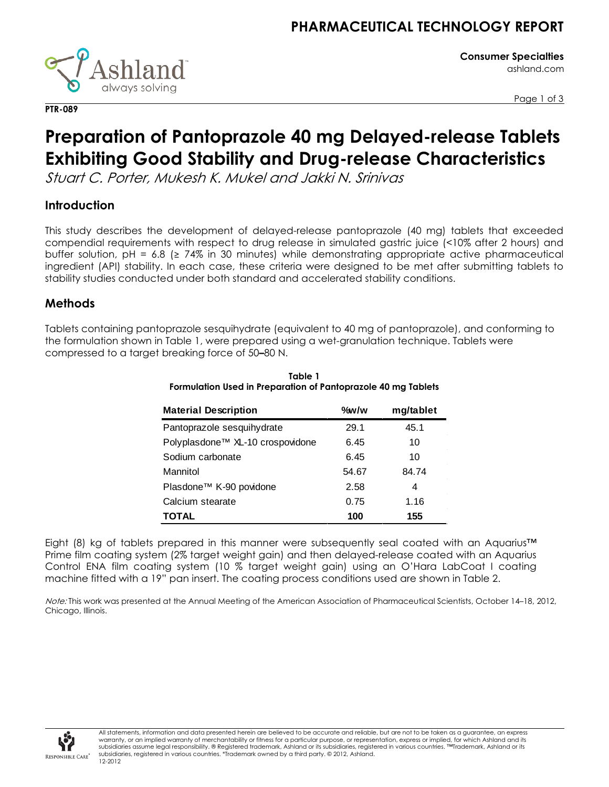

**Consumer Specialties** ashland.com

Page 1 of 3

# **Preparation of Pantoprazole 40 mg Delayed-release Tablets Exhibiting Good Stability and Drug-release Characteristics**

Stuart C. Porter, Mukesh K. Mukel and Jakki N. Srinivas

# **Introduction**

**PTR-089**

This study describes the development of delayed-release pantoprazole (40 mg) tablets that exceeded compendial requirements with respect to drug release in simulated gastric juice (<10% after 2 hours) and buffer solution, pH = 6.8 ( $\geq$  74% in 30 minutes) while demonstrating appropriate active pharmaceutical ingredient (API) stability. In each case, these criteria were designed to be met after submitting tablets to stability studies conducted under both standard and accelerated stability conditions.

# **Methods**

Tablets containing pantoprazole sesquihydrate (equivalent to 40 mg of pantoprazole), and conforming to the formulation shown in Table 1, were prepared using a wet-granulation technique. Tablets were compressed to a target breaking force of 50**–**80 N.

| <b>Material Description</b>      | $\%$ w/w | mg/tablet |
|----------------------------------|----------|-----------|
| Pantoprazole sesquihydrate       | 29.1     | 45.1      |
| Polyplasdone™ XL-10 crospovidone | 6.45     | 10        |
| Sodium carbonate                 | 6.45     | 10        |
| Mannitol                         | 54.67    | 84.74     |
| Plasdone™ K-90 povidone          | 2.58     | 4         |
| Calcium stearate                 | 0.75     | 1.16      |
| TOTAL                            | 100      | 155       |

### **Table 1 Formulation Used in Preparation of Pantoprazole 40 mg Tablets**

Eight (8) kg of tablets prepared in this manner were subsequently seal coated with an Aquarius™ Prime film coating system (2% target weight gain) and then delayed-release coated with an Aquarius Control ENA film coating system (10 % target weight gain) using an O'Hara LabCoat I coating machine fitted with a 19" pan insert. The coating process conditions used are shown in Table 2.

Note: This work was presented at the Annual Meeting of the American Association of Pharmaceutical Scientists, October 14-18, 2012, Chicago, Illinois.

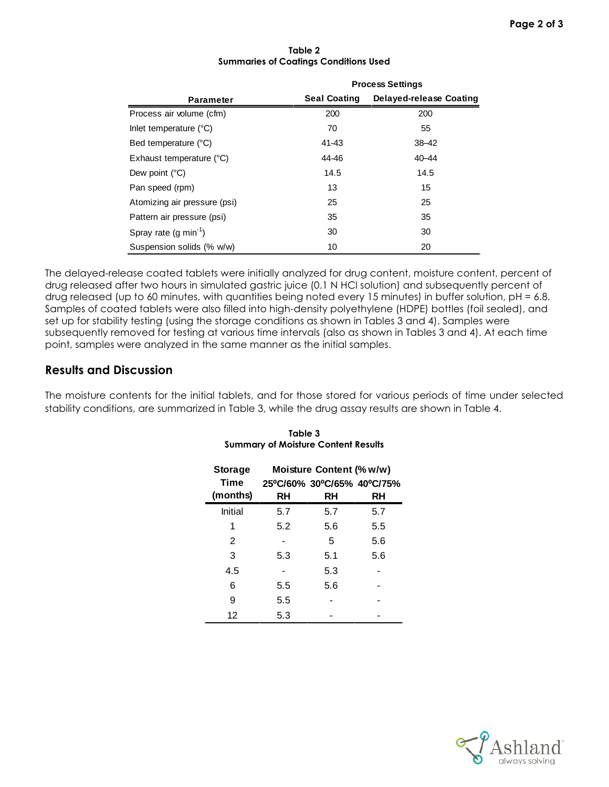|                              |                     | <b>Process Settings</b> |  |  |
|------------------------------|---------------------|-------------------------|--|--|
| <b>Parameter</b>             | <b>Seal Coating</b> | Delayed-release Coating |  |  |
| Process air volume (cfm)     | 200                 | 200                     |  |  |
| Inlet temperature (°C)       | 70                  | 55                      |  |  |
| Bed temperature (°C)         | 41-43               | $38 - 42$               |  |  |
| Exhaust temperature (°C)     | 44-46               | $40 - 44$               |  |  |
| Dew point $(^{\circ}C)$      | 14.5                | 14.5                    |  |  |
| Pan speed (rpm)              | 13                  | 15                      |  |  |
| Atomizing air pressure (psi) | 25                  | 25                      |  |  |
| Pattern air pressure (psi)   | 35                  | 35                      |  |  |
| Spray rate $(g min-1)$       | 30                  | 30                      |  |  |
| Suspension solids (% w/w)    | 10                  | 20                      |  |  |

#### **Table 2 Summaries of Coatings Conditions Used**

The delayed-release coated tablets were initially analyzed for drug content, moisture content, percent of drug released after two hours in simulated gastric juice (0.1 N HCl solution) and subsequently percent of drug released (up to 60 minutes, with quantities being noted every 15 minutes) in buffer solution, pH = 6.8. Samples of coated tablets were also filled into high-density polyethylene (HDPE) bottles (foil sealed), and set up for stability testing (using the storage conditions as shown in Tables 3 and 4). Samples were subsequently removed for testing at various time intervals (also as shown in Tables 3 and 4). At each time point, samples were analyzed in the same manner as the initial samples.

### **Results and Discussion**

The moisture contents for the initial tablets, and for those stored for various periods of time under selected stability conditions, are summarized in Table 3, while the drug assay results are shown in Table 4.

| <b>Storage</b> |     | Moisture Content (% w/w)   |     |
|----------------|-----|----------------------------|-----|
| <b>Time</b>    |     | 25°C/60% 30°C/65% 40°C/75% |     |
| (months)       | RH  | RH                         | RH  |
| Initial        | 5.7 | 5.7                        | 5.7 |
| 1              | 5.2 | 5.6                        | 5.5 |
| 2              |     | 5                          | 5.6 |
| 3              | 5.3 | 5.1                        | 5.6 |
| 4.5            |     | 5.3                        |     |
| 6              | 5.5 | 5.6                        |     |
| 9              | 5.5 |                            |     |
| 12             | 5.3 |                            |     |

### **Table 3 Summary of Moisture Content Results**